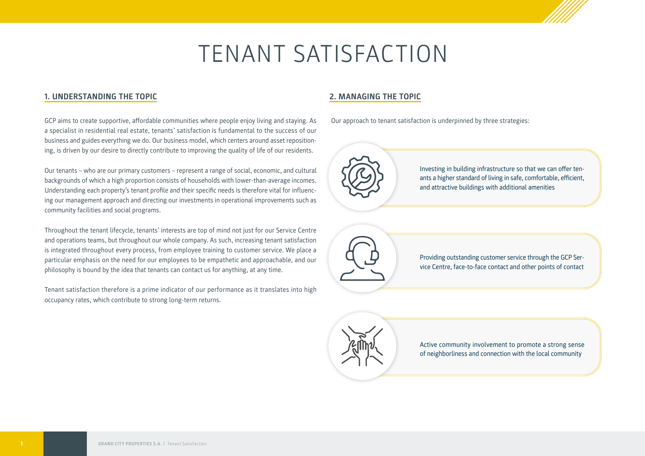# TENANT SATISFACTION

## **1. UNDERSTANDING THE TOPIC**

GCP aims to create supportive, affordable communities where people enjoy living and staying. As a specialist in residential real estate, tenants' satisfaction is fundamental to the success of our business and guides everything we do. Our business model, which centers around asset repositioning, is driven by our desire to directly contribute to improving the quality of life of our residents.

Our tenants – who are our primary customers – represent a range of social, economic, and cultural backgrounds of which a high proportion consists of households with lower-than-average incomes. Understanding each property's tenant profile and their specific needs is therefore vital for influencing our management approach and directing our investments in operational improvements such as community facilities and social programs.

Throughout the tenant lifecycle, tenants' interests are top of mind not just for our Service Centre and operations teams, but throughout our whole company. As such, increasing tenant satisfaction is integrated throughout every process, from employee training to customer service. We place a particular emphasis on the need for our employees to be empathetic and approachable, and our philosophy is bound by the idea that tenants can contact us for anything, at any time.

Tenant satisfaction therefore is a prime indicator of our performance as it translates into high occupancy rates, which contribute to strong long-term returns.

# **2. MANAGING THE TOPIC**

Our approach to tenant satisfaction is underpinned by three strategies:



Investing in building infrastructure so that we can offer tenants a higher standard of living in safe, comfortable, efficient, and attractive buildings with additional amenities

Providing outstanding customer service through the GCP Service Centre, face-to-face contact and other points of contact

Active community involvement to promote a strong sense of neighborliness and connection with the local community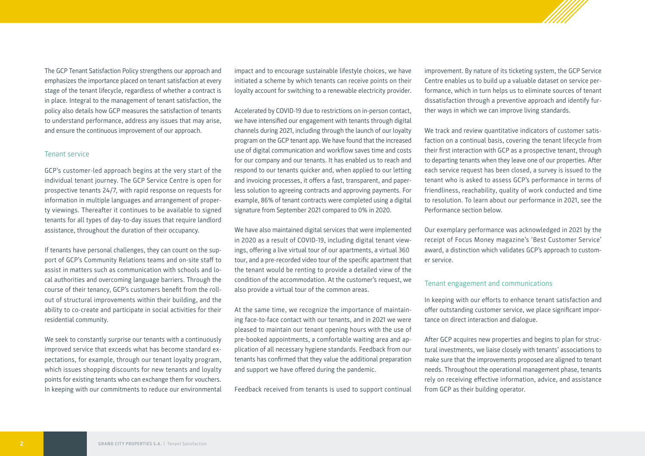The GCP Tenant Satisfaction Policy strengthens our approach and emphasizes the importance placed on tenant satisfaction at every stage of the tenant lifecycle, regardless of whether a contract is in place. Integral to the management of tenant satisfaction, the policy also details how GCP measures the satisfaction of tenants to understand performance, address any issues that may arise, and ensure the continuous improvement of our approach.

#### Tenant service

GCP's customer-led approach begins at the very start of the individual tenant journey. The GCP Service Centre is open for prospective tenants 24/7, with rapid response on requests for information in multiple languages and arrangement of property viewings. Thereafter it continues to be available to signed tenants for all types of day-to-day issues that require landlord assistance, throughout the duration of their occupancy.

If tenants have personal challenges, they can count on the support of GCP's Community Relations teams and on-site staff to assist in matters such as communication with schools and local authorities and overcoming language barriers. Through the course of their tenancy, GCP's customers benefit from the rollout of structural improvements within their building, and the ability to co-create and participate in social activities for their residential community.

We seek to constantly surprise our tenants with a continuously improved service that exceeds what has become standard expectations, for example, through our tenant loyalty program, which issues shopping discounts for new tenants and loyalty points for existing tenants who can exchange them for vouchers. In keeping with our commitments to reduce our environmental impact and to encourage sustainable lifestyle choices, we have initiated a scheme by which tenants can receive points on their loyalty account for switching to a renewable electricity provider.

Accelerated by COVID-19 due to restrictions on in-person contact, we have intensified our engagement with tenants through digital channels during 2021, including through the launch of our loyalty program on the GCP tenant app. We have found that the increased use of digital communication and workflow saves time and costs for our company and our tenants. It has enabled us to reach and respond to our tenants quicker and, when applied to our letting and invoicing processes, it offers a fast, transparent, and paperless solution to agreeing contracts and approving payments. For example, 86% of tenant contracts were completed using a digital signature from September 2021 compared to 0% in 2020.

We have also maintained digital services that were implemented in 2020 as a result of COVID-19, including digital tenant viewings, offering a live virtual tour of our apartments, a virtual 360 tour, and a pre-recorded video tour of the specific apartment that the tenant would be renting to provide a detailed view of the condition of the accommodation. At the customer's request, we also provide a virtual tour of the common areas.

At the same time, we recognize the importance of maintaining face-to-face contact with our tenants, and in 2021 we were pleased to maintain our tenant opening hours with the use of pre-booked appointments, a comfortable waiting area and application of all necessary hygiene standards. Feedback from our tenants has confirmed that they value the additional preparation and support we have offered during the pandemic.

Feedback received from tenants is used to support continual

improvement. By nature of its ticketing system, the GCP Service Centre enables us to build up a valuable dataset on service performance, which in turn helps us to eliminate sources of tenant dissatisfaction through a preventive approach and identify further ways in which we can improve living standards.

We track and review quantitative indicators of customer satisfaction on a continual basis, covering the tenant lifecycle from their first interaction with GCP as a prospective tenant, through to departing tenants when they leave one of our properties. After each service request has been closed, a survey is issued to the tenant who is asked to assess GCP's performance in terms of friendliness, reachability, quality of work conducted and time to resolution. To learn about our performance in 2021, see the Performance section below.

Our exemplary performance was acknowledged in 2021 by the receipt of Focus Money magazine's 'Best Customer Service' award, a distinction which validates GCP's approach to customer service.

# Tenant engagement and communications

In keeping with our efforts to enhance tenant satisfaction and offer outstanding customer service, we place significant importance on direct interaction and dialogue.

After GCP acquires new properties and begins to plan for structural investments, we liaise closely with tenants' associations to make sure that the improvements proposed are aligned to tenant needs. Throughout the operational management phase, tenants rely on receiving effective information, advice, and assistance from GCP as their building operator.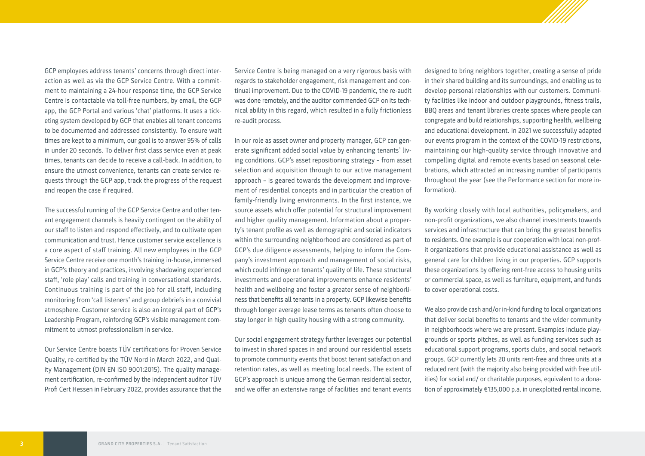GCP employees address tenants' concerns through direct interaction as well as via the GCP Service Centre. With a commitment to maintaining a 24-hour response time, the GCP Service Centre is contactable via toll-free numbers, by email, the GCP app, the GCP Portal and various 'chat' platforms. It uses a ticketing system developed by GCP that enables all tenant concerns to be documented and addressed consistently. To ensure wait times are kept to a minimum, our goal is to answer 95% of calls in under 20 seconds. To deliver first class service even at peak times, tenants can decide to receive a call-back. In addition, to ensure the utmost convenience, tenants can create service requests through the GCP app, track the progress of the request and reopen the case if required.

The successful running of the GCP Service Centre and other tenant engagement channels is heavily contingent on the ability of our staff to listen and respond effectively, and to cultivate open communication and trust. Hence customer service excellence is a core aspect of staff training. All new employees in the GCP Service Centre receive one month's training in-house, immersed in GCP's theory and practices, involving shadowing experienced staff, 'role play' calls and training in conversational standards. Continuous training is part of the job for all staff, including monitoring from 'call listeners' and group debriefs in a convivial atmosphere. Customer service is also an integral part of GCP's Leadership Program, reinforcing GCP's visible management commitment to utmost professionalism in service.

Our Service Centre boasts TÜV certifications for Proven Service Quality, re-certified by the TÜV Nord in March 2022, and Quality Management (DIN EN ISO 9001:2015). The quality management certification, re-confirmed by the independent auditor TÜV Profi Cert Hessen in February 2022, provides assurance that the

Service Centre is being managed on a very rigorous basis with regards to stakeholder engagement, risk management and continual improvement. Due to the COVID-19 pandemic, the re-audit was done remotely, and the auditor commended GCP on its technical ability in this regard, which resulted in a fully frictionless re-audit process.

In our role as asset owner and property manager, GCP can generate significant added social value by enhancing tenants' living conditions. GCP's asset repositioning strategy – from asset selection and acquisition through to our active management approach – is geared towards the development and improvement of residential concepts and in particular the creation of family-friendly living environments. In the first instance, we source assets which offer potential for structural improvement and higher quality management. Information about a property's tenant profile as well as demographic and social indicators within the surrounding neighborhood are considered as part of GCP's due diligence assessments, helping to inform the Company's investment approach and management of social risks, which could infringe on tenants' quality of life. These structural investments and operational improvements enhance residents' health and wellbeing and foster a greater sense of neighborliness that benefits all tenants in a property. GCP likewise benefits through longer average lease terms as tenants often choose to stay longer in high quality housing with a strong community.

Our social engagement strategy further leverages our potential to invest in shared spaces in and around our residential assets to promote community events that boost tenant satisfaction and retention rates, as well as meeting local needs. The extent of GCP's approach is unique among the German residential sector, and we offer an extensive range of facilities and tenant events

designed to bring neighbors together, creating a sense of pride in their shared building and its surroundings, and enabling us to develop personal relationships with our customers. Community facilities like indoor and outdoor playgrounds, fitness trails, BBQ areas and tenant libraries create spaces where people can congregate and build relationships, supporting health, wellbeing and educational development. In 2021 we successfully adapted our events program in the context of the COVID-19 restrictions, maintaining our high-quality service through innovative and compelling digital and remote events based on seasonal celebrations, which attracted an increasing number of participants throughout the year (see the Performance section for more information).

By working closely with local authorities, policymakers, and non-profit organizations, we also channel investments towards services and infrastructure that can bring the greatest benefits to residents. One example is our cooperation with local non-profit organizations that provide educational assistance as well as general care for children living in our properties. GCP supports these organizations by offering rent-free access to housing units or commercial space, as well as furniture, equipment, and funds to cover operational costs.

We also provide cash and/or in-kind funding to local organizations that deliver social benefits to tenants and the wider community in neighborhoods where we are present. Examples include playgrounds or sports pitches, as well as funding services such as educational support programs, sports clubs, and social network groups. GCP currently lets 20 units rent-free and three units at a reduced rent (with the majority also being provided with free utilities) for social and/ or charitable purposes, equivalent to a donation of approximately €135,000 p.a. in unexploited rental income.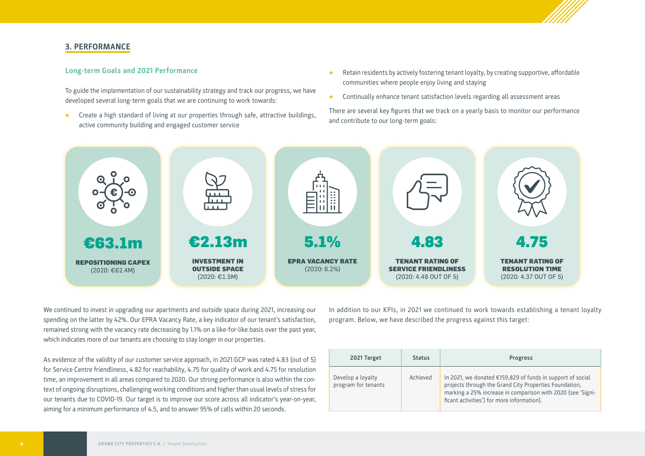

## **3. PERFORMANCE**

#### **Long-term Goals and 2021 Performance**

To guide the implementation of our sustainability strategy and track our progress, we have developed several long-term goals that we are continuing to work towards:

- **●** Create a high standard of living at our properties through safe, attractive buildings, active community building and engaged customer service
- **●** Retain residents by actively fostering tenant loyalty, by creating supportive, affordable communities where people enjoy living and staying
- **●** Continually enhance tenant satisfaction levels regarding all assessment areas

There are several key figures that we track on a yearly basis to monitor our performance and contribute to our long-term goals:



We continued to invest in upgrading our apartments and outside space during 2021, increasing our spending on the latter by 42%. Our EPRA Vacancy Rate, a key indicator of our tenant's satisfaction, remained strong with the vacancy rate decreasing by 1.1% on a like-for-like basis over the past year, which indicates more of our tenants are choosing to stay longer in our properties.

As evidence of the validity of our customer service approach, in 2021 GCP was rated 4.83 (out of 5) for Service Centre friendliness, 4.82 for reachability, 4.75 for quality of work and 4.75 for resolution time, an improvement in all areas compared to 2020. Our strong performance is also within the context of ongoing disruptions, challenging working conditions and higher than usual levels of stress for our tenants due to COVID-19. Our target is to improve our score across all indicator's year-on-year, aiming for a minimum performance of 4.5, and to answer 95% of calls within 20 seconds.

In addition to our KPIs, in 2021 we continued to work towards establishing a tenant loyalty program. Below, we have described the progress against this target:

| 2021 Target                              | <b>Status</b> | <b>Progress</b>                                                                                                                                                                                                                   |
|------------------------------------------|---------------|-----------------------------------------------------------------------------------------------------------------------------------------------------------------------------------------------------------------------------------|
| Develop a loyalty<br>program for tenants | Achieved      | In 2021, we donated €159,829 of funds in support of social<br>projects through the Grand City Properties Foundation,<br>marking a 25% increase in comparison with 2020 (see 'Signi-<br>ficant activities') for more information). |